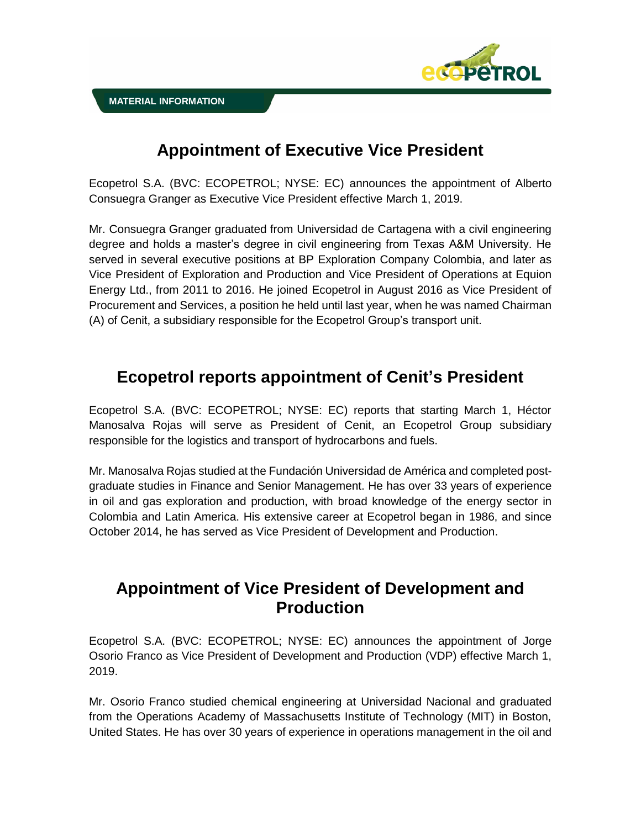

# **Appointment of Executive Vice President**

Ecopetrol S.A. (BVC: ECOPETROL; NYSE: EC) announces the appointment of Alberto Consuegra Granger as Executive Vice President effective March 1, 2019.

Mr. Consuegra Granger graduated from Universidad de Cartagena with a civil engineering degree and holds a master's degree in civil engineering from Texas A&M University. He served in several executive positions at BP Exploration Company Colombia, and later as Vice President of Exploration and Production and Vice President of Operations at Equion Energy Ltd., from 2011 to 2016. He joined Ecopetrol in August 2016 as Vice President of Procurement and Services, a position he held until last year, when he was named Chairman (A) of Cenit, a subsidiary responsible for the Ecopetrol Group's transport unit.

## **Ecopetrol reports appointment of Cenit's President**

Ecopetrol S.A. (BVC: ECOPETROL; NYSE: EC) reports that starting March 1, Héctor Manosalva Rojas will serve as President of Cenit, an Ecopetrol Group subsidiary responsible for the logistics and transport of hydrocarbons and fuels.

Mr. Manosalva Rojas studied at the Fundación Universidad de América and completed postgraduate studies in Finance and Senior Management. He has over 33 years of experience in oil and gas exploration and production, with broad knowledge of the energy sector in Colombia and Latin America. His extensive career at Ecopetrol began in 1986, and since October 2014, he has served as Vice President of Development and Production.

### **Appointment of Vice President of Development and Production**

Ecopetrol S.A. (BVC: ECOPETROL; NYSE: EC) announces the appointment of Jorge Osorio Franco as Vice President of Development and Production (VDP) effective March 1, 2019.

Mr. Osorio Franco studied chemical engineering at Universidad Nacional and graduated from the Operations Academy of Massachusetts Institute of Technology (MIT) in Boston, United States. He has over 30 years of experience in operations management in the oil and